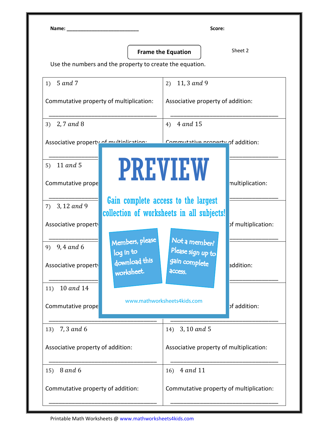Name: \_\_\_\_\_\_\_\_\_\_\_\_\_\_\_\_\_\_\_\_\_\_\_\_\_\_ Score:

**Frame the Equation**  $\left| \right|$  Sheet 2

Use the numbers and the property to create the equation.

| 1) $5$ and 7                                                                                          | 11, 3 and 9<br>2)                                                                  |
|-------------------------------------------------------------------------------------------------------|------------------------------------------------------------------------------------|
| Commutative property of multiplication:                                                               | Associative property of addition:                                                  |
| 2,7 and 8<br>3)                                                                                       | 4 and 15<br>4)                                                                     |
| Associative property of multiplication.                                                               | Commutative property of addition:                                                  |
| 11 and 5<br>5)                                                                                        | <b>PREVIEW</b>                                                                     |
| Commutative prope                                                                                     | multiplication:                                                                    |
| 3, 12 and 9<br>7)                                                                                     | Gain complete access to the largest<br>collection of worksheets in all subjects!   |
| Associative property                                                                                  | of multiplication:                                                                 |
| Members, please<br>9) $9,4$ and 6<br>log in to<br>download this<br>Associative property<br>worksheet. | Not a member?<br>Please sign up to<br>gain complete<br>addition:<br><b>ACCESS.</b> |
| 11) 10 and 14                                                                                         |                                                                                    |
| Commutative prope                                                                                     | www.mathworksheets4kids.com<br>of addition:                                        |
| 7,3 and 6<br>13)                                                                                      | 14) 3, 10 and 5                                                                    |
| Associative property of addition:                                                                     | Associative property of multiplication:                                            |
| <b>8</b> and 6<br>15)                                                                                 | 4 and 11<br>16)                                                                    |
| Commutative property of addition:                                                                     | Commutative property of multiplication:                                            |